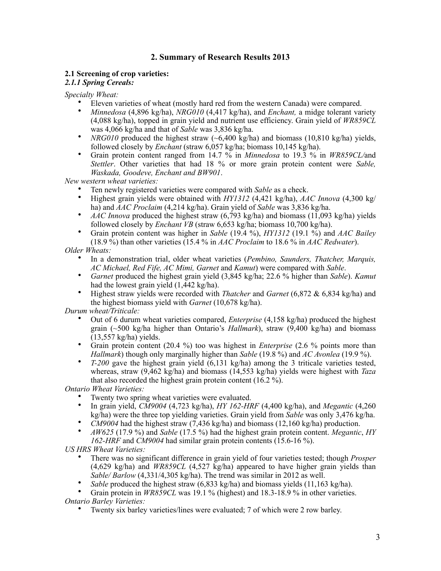# **2. Summary of Research Results 2013**

# **2.1 Screening of crop varieties:**

*2.1.1 Spring Cereals:*

*Specialty Wheat:* 

- Eleven varieties of wheat (mostly hard red from the western Canada) were compared.
- *Minnedosa* (4,896 kg/ha), *NRG010* (4,417 kg/ha), and *Enchant,* a midge tolerant variety (4,088 kg/ha), topped in grain yield and nutrient use efficiency. Grain yield of *WR859CL* was 4,066 kg/ha and that of *Sable* was 3,836 kg/ha.
- *NRG010* produced the highest straw (~6,400 kg/ha) and biomass (10,810 kg/ha) yields, followed closely by *Enchant* (straw 6,057 kg/ha; biomass 10,145 kg/ha).
- Grain protein content ranged from 14.7 % in *Minnedosa* to 19.3 % in *WR859CL/*and *Stettler*. Other varieties that had 18 % or more grain protein content were *Sable, Waskada, Goodeve, Enchant and BW901*.

*New western wheat varieties:*

- Ten newly registered varieties were compared with *Sable* as a check.
- Highest grain yields were obtained with *HY1312* (4,421 kg/ha), *AAC Innova* (4,300 kg/ ha) and *AAC Proclaim* (4,214 kg/ha). Grain yield of *Sable* was 3,836 kg/ha.
- *AAC Innova* produced the highest straw (6,793 kg/ha) and biomass (11,093 kg/ha) yields followed closely by *Enchant VB* (straw 6,653 kg/ha; biomass 10,700 kg/ha).
- Grain protein content was higher in *Sable* (19.4 %), *HY1312* (19.1 %) and *AAC Bailey* (18.9 %) than other varieties (15.4 % in *AAC Proclaim* to 18.6 % in *AAC Redwater*).

*Older Wheats:* 

- In a demonstration trial, older wheat varieties (*Pembino, Saunders, Thatcher, Marquis, AC Michael, Red Fife, AC Mimi, Garnet* and *Kamut*) were compared with *Sable*.
- *Garnet* produced the highest grain yield (3,845 kg/ha; 22.6 % higher than *Sable*). *Kamut* had the lowest grain yield (1,442 kg/ha).
- Highest straw yields were recorded with *Thatcher* and *Garnet* (6,872 & 6,834 kg/ha) and the highest biomass yield with *Garnet* (10,678 kg/ha).

*Durum wheat/Triticale:*

- Out of 6 durum wheat varieties compared, *Enterprise* (4,158 kg/ha) produced the highest grain (~500 kg/ha higher than Ontario's *Hallmark*), straw (9,400 kg/ha) and biomass (13,557 kg/ha) yields.
- Grain protein content (20.4 %) too was highest in *Enterprise* (2.6 % points more than *Hallmark*) though only marginally higher than *Sable* (19.8 %) and *AC Avonlea* (19.9 %).
- *T-200* gave the highest grain yield (6,131 kg/ha) among the 3 triticale varieties tested, whereas, straw (9,462 kg/ha) and biomass (14,553 kg/ha) yields were highest with *Taza*  that also recorded the highest grain protein content (16.2 %).

*Ontario Wheat Varieties:* 

- Twenty two spring wheat varieties were evaluated.
- In grain yield, *CM9004* (4,723 kg/ha), *HY 162-HRF* (4,400 kg/ha), and *Megantic* (4,260 kg/ha) were the three top yielding varieties. Grain yield from *Sable* was only 3,476 kg/ha.
- *CM9004* had the highest straw (7,436 kg/ha) and biomass (12,160 kg/ha) production.
- *AW625* (17.9 %) and *Sable* (17.5 %) had the highest grain protein content. *Megantic*, *HY 162-HRF* and *CM9004* had similar grain protein contents (15.6-16 %).

*US HRS Wheat Varieties:*

- There was no significant difference in grain yield of four varieties tested; though *Prosper* (4,629 kg/ha) and *WR859CL* (4,527 kg/ha) appeared to have higher grain yields than *Sable/ Barlow* (4,331/4,305 kg/ha). The trend was similar in 2012 as well.
- *Sable* produced the highest straw (6,833 kg/ha) and biomass yields (11,163 kg/ha).

• Grain protein in *WR859CL* was 19.1 % (highest) and 18.3-18.9 % in other varieties. *Ontario Barley Varieties:* 

• Twenty six barley varieties/lines were evaluated; 7 of which were 2 row barley.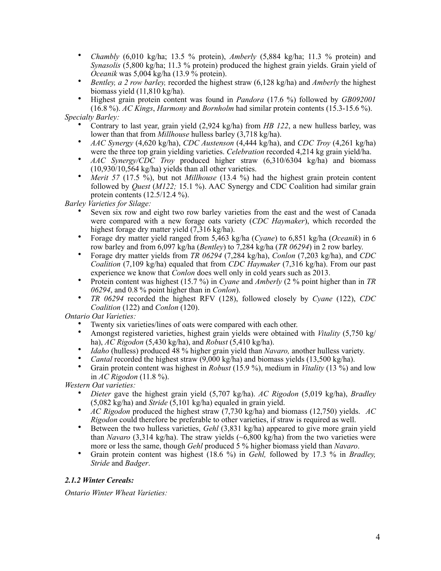- *Chambly* (6,010 kg/ha; 13.5 % protein), *Amberly* (5,884 kg/ha; 11.3 % protein) and *Synasolis* (5,800 kg/ha; 11.3 % protein) produced the highest grain yields. Grain yield of *Oceanik* was 5,004 kg/ha (13.9 % protein).
- *Bentley, a 2 row barley,* recorded the highest straw (6,128 kg/ha) and *Amberly* the highest biomass yield (11,810 kg/ha).
- Highest grain protein content was found in *Pandora* (17.6 %) followed by *GB092001* (16.8 %). *AC Kings*, *Harmony* and *Bornholm* had similar protein contents (15.3-15.6 %).

*Specialty Barley:*

- Contrary to last year, grain yield (2,924 kg/ha) from *HB 122*, a new hulless barley, was lower than that from *Millhouse* hulless barley (3,718 kg/ha).
- *AAC Synergy* (4,620 kg/ha), *CDC Austenson* (4,444 kg/ha), and *CDC Troy* (4,261 kg/ha) were the three top grain yielding varieties. *Celebration* recorded 4,214 kg grain yield/ha.
- *AAC Synergy/CDC Troy* produced higher straw (6,310/6304 kg/ha) and biomass (10,930/10,564 kg/ha) yields than all other varieties.
- *Merit 57* (17.5 %), but not *Millhouse* (13.4 %) had the highest grain protein content followed by *Quest* (*M122;* 15.1 %). AAC Synergy and CDC Coalition had similar grain protein contents (12.5/12.4 %).

*Barley Varieties for Silage:* 

- Seven six row and eight two row barley varieties from the east and the west of Canada were compared with a new forage oats variety (*CDC Haymaker*), which recorded the highest forage dry matter yield (7,316 kg/ha).
- Forage dry matter yield ranged from 5,463 kg/ha (*Cyane*) to 6,851 kg/ha (*Oceanik*) in 6 row barley and from 6,097 kg/ha (*Bentley*) to 7,284 kg/ha (*TR 06294*) in 2 row barley.
- Forage dry matter yields from *TR 06294* (7,284 kg/ha), *Conlon* (7,203 kg/ha), and *CDC Coalition* (7,109 kg/ha) equaled that from *CDC Haymaker* (7,316 kg/ha). From our past experience we know that *Conlon* does well only in cold years such as 2013.
- Protein content was highest (15.7 %) in *Cyane* and *Amberly* (2 % point higher than in *TR 06294*, and 0.8 % point higher than in *Conlon*).
- *TR 06294* recorded the highest RFV (128), followed closely by *Cyane* (122), *CDC Coalition* (122) and *Conlon* (120).

*Ontario Oat Varieties:* 

- Twenty six varieties/lines of oats were compared with each other.
- Amongst registered varieties, highest grain yields were obtained with *Vitality* (5,750 kg/ ha), *AC Rigodon* (5,430 kg/ha), and *Robust* (5,410 kg/ha).
- *Idaho* (hulless) produced 48 % higher grain yield than *Navaro*, another hulless variety.
- *Cantal* recorded the highest straw (9,000 kg/ha) and biomass yields (13,500 kg/ha).
- Grain protein content was highest in *Robust* (15.9 %), medium in *Vitality* (13 %) and low in *AC Rigodon* (11.8 %).

*Western Oat varieties:*

- *Dieter* gave the highest grain yield (5,707 kg/ha). *AC Rigodon* (5,019 kg/ha), *Bradley*  (5,082 kg/ha) and *Stride* (5,101 kg/ha) equaled in grain yield.
- *AC Rigodon* produced the highest straw (7,730 kg/ha) and biomass (12,750) yields. *AC Rigodon* could therefore be preferable to other varieties, if straw is required as well.
- Between the two hulless varieties, *Gehl* (3,831 kg/ha) appeared to give more grain yield than *Navaro* (3,314 kg/ha). The straw yields  $(-6.800 \text{ kg/ha})$  from the two varieties were more or less the same, though *Gehl* produced 5 % higher biomass yield than *Navaro*.
- Grain protein content was highest (18.6 %) in *Gehl,* followed by 17.3 % in *Bradley, Stride* and *Badger*.

# *2.1.2 Winter Cereals:*

*Ontario Winter Wheat Varieties:*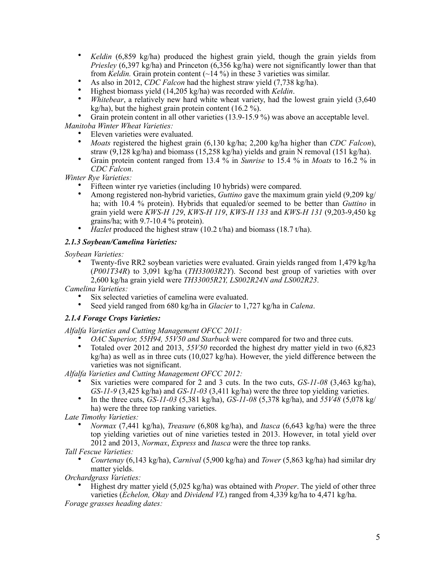- *Keldin* (6,859 kg/ha) produced the highest grain yield, though the grain yields from *Priesley* (6,397 kg/ha) and Princeton (6,356 kg/ha) were not significantly lower than that from *Keldin*. Grain protein content  $(\sim]$  14 %) in these 3 varieties was similar.
- As also in 2012, *CDC Falcon* had the highest straw yield (7,738 kg/ha).
- Highest biomass yield (14,205 kg/ha) was recorded with *Keldin*.
- *Whitebear*, a relatively new hard white wheat variety, had the lowest grain yield (3,640 kg/ha), but the highest grain protein content  $(16.2 \%)$ .

Grain protein content in all other varieties (13.9-15.9 %) was above an acceptable level.

*Manitoba Winter Wheat Varieties:*

- Eleven varieties were evaluated.
- *Moats* registered the highest grain (6,130 kg/ha; 2,200 kg/ha higher than *CDC Falcon*), straw (9,128 kg/ha) and biomass (15,258 kg/ha) yields and grain N removal (151 kg/ha).
- Grain protein content ranged from 13.4 % in *Sunrise* to 15.4 % in *Moats* to 16.2 % in *CDC Falcon*.

*Winter Rye Varieties:*

- Fifteen winter rye varieties (including 10 hybrids) were compared.
- Among registered non-hybrid varieties, *Guttino* gave the maximum grain yield (9,209 kg/ ha; with 10.4 % protein). Hybrids that equaled/or seemed to be better than *Guttino* in grain yield were *KWS-H 129*, *KWS-H 119*, *KWS-H 133* and *KWS-H 131* (9,203-9,450 kg grains/ha; with 9.7-10.4 % protein).
- *Hazlet* produced the highest straw (10.2 t/ha) and biomass (18.7 t/ha).

# *2.1.3 Soybean/Camelina Varieties:*

*Soybean Varieties:* 

• Twenty-five RR2 soybean varieties were evaluated. Grain yields ranged from 1,479 kg/ha (*P001T34R*) to 3,091 kg/ha (*TH33003R2Y*). Second best group of varieties with over 2,600 kg/ha grain yield were *TH33005R2Y, LS002R24N and LS002R23*.

*Camelina Varieties:*

- Six selected varieties of camelina were evaluated.
- Seed yield ranged from 680 kg/ha in *Glacier* to 1,727 kg/ha in *Calena*.

# *2.1.4 Forage Crops Varieties:*

*Alfalfa Varieties and Cutting Management OFCC 2011:*

- *OAC Superior, 55H94, 55V50 and Starbuck* were compared for two and three cuts.
- Totaled over 2012 and 2013, *55V50* recorded the highest dry matter yield in two (6,823 kg/ha) as well as in three cuts (10,027 kg/ha). However, the yield difference between the varieties was not significant.

*Alfalfa Varieties and Cutting Management OFCC 2012:*

- Six varieties were compared for 2 and 3 cuts. In the two cuts, *GS-11-08* (3,463 kg/ha), *GS-11-9* (3,425 kg/ha) and *GS-11-03* (3,411 kg/ha) were the three top yielding varieties.
- In the three cuts, *GS-11-03* (5,381 kg/ha), *GS-11-08* (5,378 kg/ha), and *55V48* (5,078 kg/ ha) were the three top ranking varieties.

*Late Timothy Varieties:* 

• *Normax* (7,441 kg/ha), *Treasure* (6,808 kg/ha), and *Itasca* (6,643 kg/ha) were the three top yielding varieties out of nine varieties tested in 2013. However, in total yield over 2012 and 2013, *Normax*, *Express* and *Itasca* were the three top ranks.

*Tall Fescue Varieties:*

• *Courtenay* (6,143 kg/ha), *Carnival* (5,900 kg/ha) and *Tower* (5,863 kg/ha) had similar dry matter yields.

*Orchardgrass Varieties:*

• Highest dry matter yield (5,025 kg/ha) was obtained with *Proper*. The yield of other three varieties (*Echelon, Okay* and *Dividend VL*) ranged from 4,339 kg/ha to 4,471 kg/ha.

*Forage grasses heading dates:*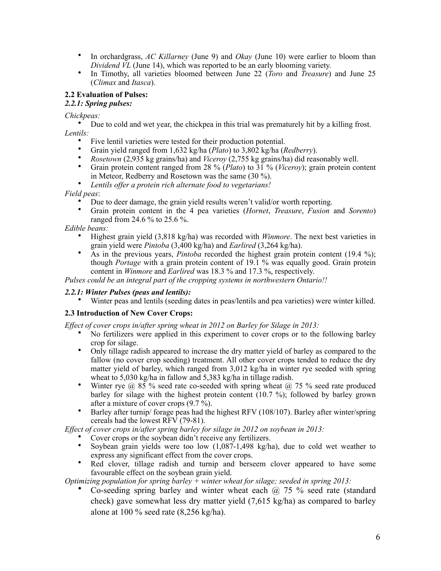- In orchardgrass, *AC Killarney* (June 9) and *Okay* (June 10) were earlier to bloom than *Dividend VL* (June 14), which was reported to be an early blooming variety.
- In Timothy, all varieties bloomed between June 22 (*Toro* and *Treasure*) and June 25 (*Climax* and *Itasca*).

# **2.2 Evaluation of Pulses:**

# *2.2.1: Spring pulses:*

*Chickpeas:* 

• Due to cold and wet year, the chickpea in this trial was prematurely hit by a killing frost. *Lentils:*

- Five lentil varieties were tested for their production potential.
- Grain yield ranged from 1,632 kg/ha (*Plato*) to 3,802 kg/ha (*Redberry*).
- *Rosetown* (2,935 kg grains/ha) and *Viceroy* (2,755 kg grains/ha) did reasonably well.
- Grain protein content ranged from 28 % (*Plato*) to 31 % (*Viceroy*); grain protein content in Meteor, Redberry and Rosetown was the same (30 %).
- *Lentils offer a protein rich alternate food to vegetarians!*

*Field peas*:

- Due to deer damage, the grain yield results weren't valid/or worth reporting.
- Grain protein content in the 4 pea varieties (*Hornet*, *Treasure*, *Fusion* and *Sorento*) ranged from 24.6 % to 25.6 %.

## *Edible beans:*

- Highest grain yield (3,818 kg/ha) was recorded with *Winmore*. The next best varieties in grain yield were *Pintoba* (3,400 kg/ha) and *Earlired* (3,264 kg/ha).
- As in the previous years, *Pintoba* recorded the highest grain protein content (19.4 %); though *Portage* with a grain protein content of 19.1 % was equally good. Grain protein content in *Winmore* and *Earlired* was 18.3 % and 17.3 %, respectively.

*Pulses could be an integral part of the cropping systems in northwestern Ontario!!*

# *2.2.1: Winter Pulses (peas and lentils):*

• Winter peas and lentils (seeding dates in peas/lentils and pea varieties) were winter killed.

# **2.3 Introduction of New Cover Crops:**

*Effect of cover crops in/after spring wheat in 2012 on Barley for Silage in 2013:*

- No fertilizers were applied in this experiment to cover crops or to the following barley crop for silage.
- Only tillage radish appeared to increase the dry matter yield of barley as compared to the fallow (no cover crop seeding) treatment. All other cover crops tended to reduce the dry matter yield of barley, which ranged from 3,012 kg/ha in winter rye seeded with spring wheat to 5,030 kg/ha in fallow and 5,383 kg/ha in tillage radish.
- Winter rye  $\omega$  85 % seed rate co-seeded with spring wheat  $\omega$  75 % seed rate produced barley for silage with the highest protein content (10.7 %); followed by barley grown after a mixture of cover crops (9.7 %).
- Barley after turnip/ forage peas had the highest RFV (108/107). Barley after winter/spring cereals had the lowest RFV (79-81).

*Effect of cover crops in/after spring barley for silage in 2012 on soybean in 2013:*

- Cover crops or the soybean didn't receive any fertilizers.
- Soybean grain yields were too low  $(1,087-1,498 \text{ kg/ha})$ , due to cold wet weather to express any significant effect from the cover crops.
- Red clover, tillage radish and turnip and berseem clover appeared to have some favourable effect on the soybean grain yield.

*Optimizing population for spring barley + winter wheat for silage; seeded in spring 2013:*

Co-seeding spring barley and winter wheat each  $\omega$  75 % seed rate (standard check) gave somewhat less dry matter yield (7,615 kg/ha) as compared to barley alone at 100 % seed rate (8,256 kg/ha).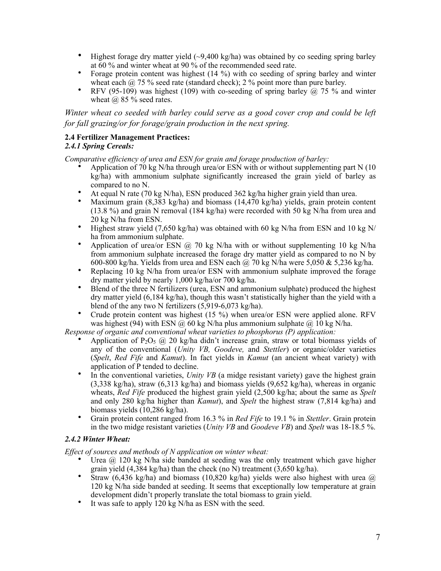- Highest forage dry matter yield  $\left(\frac{9}{400 \text{ kg/ha}}\right)$  was obtained by co seeding spring barley at 60 % and winter wheat at 90 % of the recommended seed rate.
- Forage protein content was highest (14 %) with co seeding of spring barley and winter wheat each  $\omega$  75 % seed rate (standard check); 2 % point more than pure barley.
- RFV (95-109) was highest (109) with co-seeding of spring barley  $\hat{a}$  75 % and winter wheat  $\omega$  85 % seed rates.

*Winter wheat co seeded with barley could serve as a good cover crop and could be left for fall grazing/or for forage/grain production in the next spring.*

#### **2.4 Fertilizer Management Practices:** *2.4.1 Spring Cereals:*

*Comparative efficiency of urea and ESN for grain and forage production of barley:*

- Application of 70 kg N/ha through urea/or ESN with or without supplementing part N  $(10$ kg/ha) with ammonium sulphate significantly increased the grain yield of barley as compared to no N.
- At equal N rate (70 kg N/ha), ESN produced 362 kg/ha higher grain yield than urea.
- Maximum grain (8,383 kg/ha) and biomass (14,470 kg/ha) yields, grain protein content (13.8 %) and grain N removal (184 kg/ha) were recorded with 50 kg N/ha from urea and 20 kg N/ha from ESN.
- Highest straw yield (7,650 kg/ha) was obtained with 60 kg N/ha from ESN and 10 kg N/ ha from ammonium sulphate.
- Application of urea/or ESN @ 70 kg N/ha with or without supplementing 10 kg N/ha from ammonium sulphate increased the forage dry matter yield as compared to no N by 600-800 kg/ha. Yields from urea and ESN each  $\omega$ , 70 kg N/ha were 5,050 & 5,236 kg/ha.
- Replacing 10 kg N/ha from urea/or ESN with ammonium sulphate improved the forage dry matter yield by nearly 1,000 kg/ha/or 700 kg/ha.
- Blend of the three N fertilizers (urea, ESN and ammonium sulphate) produced the highest dry matter yield (6,184 kg/ha), though this wasn't statistically higher than the yield with a blend of the any two N fertilizers (5,919-6,073 kg/ha).
- Crude protein content was highest (15 %) when urea/or ESN were applied alone. RFV was highest (94) with ESN  $\omega$  60 kg N/ha plus ammonium sulphate  $\omega$  10 kg N/ha.

*Response of organic and conventional wheat varieties to phosphorus (P) application:*

- Application of P<sub>2</sub>O<sub>5</sub> @ 20 kg/ha didn't increase grain, straw or total biomass yields of any of the conventional (*Unity VB, Goodeve,* and *Stettler*) or organic/older varieties (*Spelt*, *Red Fife* and *Kamut*). In fact yields in *Kamut* (an ancient wheat variety) with application of P tended to decline.
- In the conventional varieties, *Unity VB* (a midge resistant variety) gave the highest grain (3,338 kg/ha), straw (6,313 kg/ha) and biomass yields (9,652 kg/ha), whereas in organic wheats, *Red Fife* produced the highest grain yield (2,500 kg/ha; about the same as *Spelt* and only 280 kg/ha higher than *Kamut*), and *Spelt* the highest straw (7,814 kg/ha) and biomass yields (10,286 kg/ha).
- Grain protein content ranged from 16.3 % in *Red Fife* to 19.1 % in *Stettler*. Grain protein in the two midge resistant varieties (*Unity VB* and *Goodeve VB*) and *Spelt* was 18-18.5 %.

# *2.4.2 Winter Wheat:*

*Effect of sources and methods of N application on winter wheat:*

- Urea @ 120 kg N/ha side banded at seeding was the only treatment which gave higher grain yield  $(4,384 \text{ kg/ha})$  than the check (no N) treatment  $(3,650 \text{ kg/ha})$ .
- Straw (6,436 kg/ha) and biomass (10,820 kg/ha) yields were also highest with urea  $@$ 120 kg N/ha side banded at seeding. It seems that exceptionally low temperature at grain development didn't properly translate the total biomass to grain yield.
- It was safe to apply 120 kg N/ha as ESN with the seed.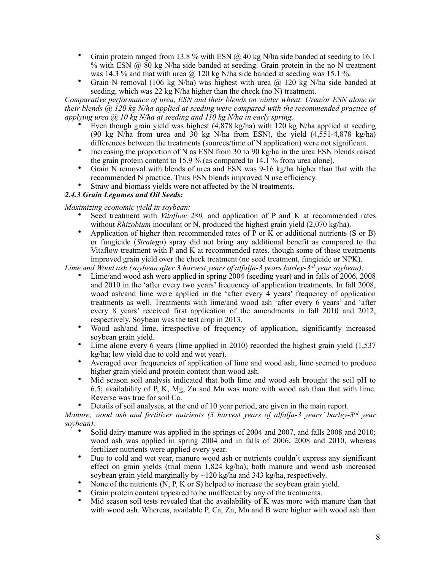- Grain protein ranged from 13.8 % with ESN  $\omega$  40 kg N/ha side banded at seeding to 16.1 % with ESN  $\omega$  80 kg N/ha side banded at seeding. Grain protein in the no N treatment was 14.3 % and that with urea  $\omega$  120 kg N/ha side banded at seeding was 15.1 %.
- Grain N removal (106 kg N/ha) was highest with urea @ 120 kg N/ha side banded at seeding, which was 22 kg N/ha higher than the check (no  $\tilde{N}$ ) treatment.

*Comparative performance of urea, ESN and their blends on winter wheat: Urea/or ESN alone or their blends @ 120 kg N/ha applied at seeding were compared with the recommended practice of applying urea @ 10 kg N/ha at seeding and 110 kg N/ha in early spring.*

- Even though grain yield was highest  $(4,878 \text{ kg/ha})$  with 120 kg N/ha applied at seeding (90 kg N/ha from urea and 30 kg N/ha from ESN), the yield  $(4.551-4.878 \text{ kg/ha})$ differences between the treatments (sources/time of N application) were not significant.
- Increasing the proportion of N as ESN from 30 to 90 kg/ha in the urea ESN blends raised the grain protein content to 15.9 % (as compared to 14.1 % from urea alone).
- Grain N removal with blends of urea and ESN was 9-16 kg/ha higher than that with the recommended N practice. Thus ESN blends improved N use efficiency.
- Straw and biomass yields were not affected by the N treatments.

## *2.4.3 Grain Legumes and Oil Seeds:*

*Maximizing economic yield in soybean:*

- Seed treatment with *Vitaflow 280,* and application of P and K at recommended rates without *Rhizobium* inoculant or N, produced the highest grain yield (2,070 kg/ha).
- Application of higher than recommended rates of P or K or additional nutrients (S or B) or fungicide (*Stratego*) spray did not bring any additional benefit as compared to the Vitaflow treatment with P and K at recommended rates, though some of these treatments improved grain yield over the check treatment (no seed treatment, fungicide or NPK).

*Lime and Wood ash (soybean after 3 harvest years of alfalfa-3 years barley-3rd year soybean):* 

- Lime/and wood ash were applied in spring 2004 (seeding year) and in falls of 2006, 2008 and 2010 in the 'after every two years' frequency of application treatments. In fall 2008, wood ash/and lime were applied in the 'after every 4 years' frequency of application treatments as well. Treatments with lime/and wood ash 'after every 6 years' and 'after every 8 years' received first application of the amendments in fall 2010 and 2012, respectively. Soybean was the test crop in 2013.
- Wood ash/and lime, irrespective of frequency of application, significantly increased soybean grain yield.
- Lime alone every 6 years (lime applied in 2010) recorded the highest grain yield (1,537 kg/ha; low yield due to cold and wet year).
- Averaged over frequencies of application of lime and wood ash, lime seemed to produce higher grain yield and protein content than wood ash.
- Mid season soil analysis indicated that both lime and wood ash brought the soil pH to 6.5; availability of P, K, Mg, Zn and Mn was more with wood ash than that with lime. Reverse was true for soil Ca.
- Details of soil analyses, at the end of 10 year period, are given in the main report.

*Manure, wood ash and fertilizer nutrients (3 harvest years of alfalfa-3 years' barley-3rd year soybean):* 

- Solid dairy manure was applied in the springs of 2004 and 2007, and falls 2008 and 2010; wood ash was applied in spring 2004 and in falls of 2006, 2008 and 2010, whereas fertilizer nutrients were applied every year.
- Due to cold and wet year, manure wood ash or nutrients couldn't express any significant effect on grain yields (trial mean 1,824 kg/ha); both manure and wood ash increased soybean grain yield marginally by  $\sim$ 120 kg/ha and 343 kg/ha, respectively.
- None of the nutrients (N, P, K or S) helped to increase the soybean grain yield.
- Grain protein content appeared to be unaffected by any of the treatments.
- Mid season soil tests revealed that the availability of K was more with manure than that with wood ash. Whereas, available P, Ca, Zn, Mn and B were higher with wood ash than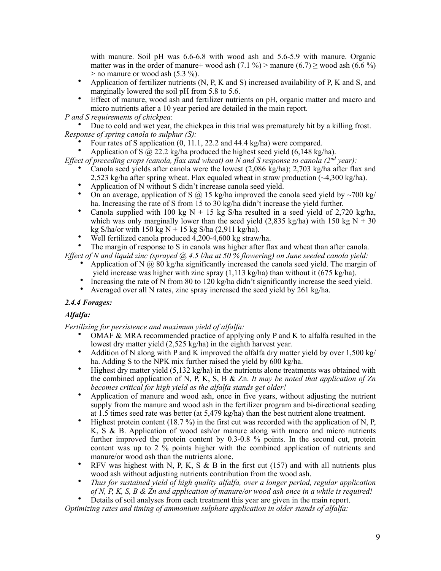with manure. Soil pH was 6.6-6.8 with wood ash and 5.6-5.9 with manure. Organic matter was in the order of manure+ wood ash  $(7.1 \%)$  > manure  $(6.7)$  ≥ wood ash  $(6.6 \%)$  $>$  no manure or wood ash (5.3 %).

- Application of fertilizer nutrients (N, P, K and S) increased availability of P, K and S, and marginally lowered the soil pH from 5.8 to 5.6.
- Effect of manure, wood ash and fertilizer nutrients on pH, organic matter and macro and micro nutrients after a 10 year period are detailed in the main report.

*P and S requirements of chickpea*:

• Due to cold and wet year, the chickpea in this trial was prematurely hit by a killing frost. *Response of spring canola to sulphur (S):* 

- Four rates of S application (0, 11.1, 22.2 and 44.4 kg/ha) were compared.
- Application of  $S(\hat{\omega})$  22.2 kg/ha produced the highest seed yield (6,148 kg/ha).

*Effect of preceding crops (canola, flax and wheat) on N and S response to canola (2nd year):*

- Canola seed yields after canola were the lowest (2,086 kg/ha); 2,703 kg/ha after flax and 2,523 kg/ha after spring wheat. Flax equaled wheat in straw production  $\left(\sim 4.300 \text{ kg/ha}\right)$ .
- Application of N without S didn't increase canola seed yield.
- On an average, application of S  $\omega$  15 kg/ha improved the canola seed yield by ~700 kg/ ha. Increasing the rate of S from 15 to 30 kg/ha didn't increase the yield further.
- Canola supplied with 100 kg N + 15 kg S/ha resulted in a seed yield of 2,720 kg/ha, which was only marginally lower than the seed yield  $(2.835 \text{ kg/ha})$  with 150 kg N + 30 kg S/ha/or with 150 kg N + 15 kg S/ha (2,911 kg/ha).
- Well fertilized canola produced 4,200-4,600 kg straw/ha.

• The margin of response to S in canola was higher after flax and wheat than after canola.

*Effect of N and liquid zinc (sprayed @ 4.5 l/ha at 50 % flowering) on June seeded canola yield:*

- Application of N  $\omega$  80 kg/ha significantly increased the canola seed yield. The margin of
- yield increase was higher with zinc spray (1,113 kg/ha) than without it (675 kg/ha). • Increasing the rate of N from 80 to 120 kg/ha didn't significantly increase the seed yield.
- Averaged over all N rates, zinc spray increased the seed yield by 261 kg/ha.

# *2.4.4 Forages:*

# *Alfalfa:*

*Fertilizing for persistence and maximum yield of alfalfa:*

- OMAF  $\&$  MRA recommended practice of applying only P and K to alfalfa resulted in the lowest dry matter yield (2,525 kg/ha) in the eighth harvest year.
- Addition of N along with P and K improved the alfalfa dry matter yield by over  $1,500 \text{ kg}$ ha. Adding S to the NPK mix further raised the yield by 600 kg/ha.
- Highest dry matter yield  $(5.132 \text{ kg/ha})$  in the nutrients alone treatments was obtained with the combined application of N, P, K, S, B & Zn. *It may be noted that application of Zn becomes critical for high yield as the alfalfa stands get older!*
- Application of manure and wood ash, once in five years, without adjusting the nutrient supply from the manure and wood ash in the fertilizer program and bi-directional seeding at 1.5 times seed rate was better (at 5,479 kg/ha) than the best nutrient alone treatment.
- Highest protein content (18.7 %) in the first cut was recorded with the application of N, P, K, S & B. Application of wood ash/or manure along with macro and micro nutrients further improved the protein content by 0.3-0.8 % points. In the second cut, protein content was up to  $2\frac{6}{10}$  points higher with the combined application of nutrients and manure/or wood ash than the nutrients alone.
- RFV was highest with N, P, K, S  $\&$  B in the first cut (157) and with all nutrients plus wood ash without adjusting nutrients contribution from the wood ash.
- *Thus for sustained yield of high quality alfalfa, over a longer period, regular application of N, P, K, S, B & Zn and application of manure/or wood ash once in a while is required!*

• Details of soil analyses from each treatment this year are given in the main report.

*Optimizing rates and timing of ammonium sulphate application in older stands of alfalfa:*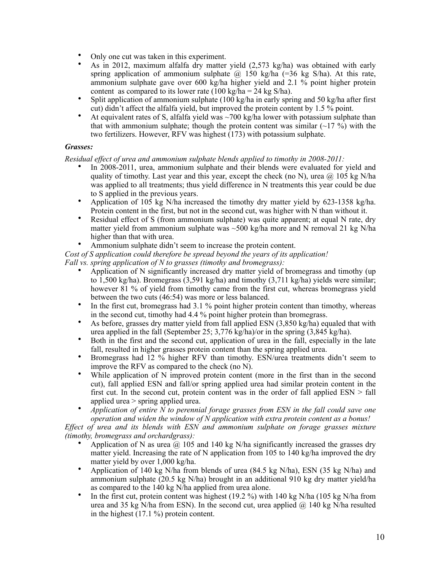- Only one cut was taken in this experiment.
- As in 2012, maximum alfalfa dry matter yield (2,573 kg/ha) was obtained with early spring application of ammonium sulphate  $\hat{\omega}$  150 kg/ha (=36 kg S/ha). At this rate, ammonium sulphate gave over 600 kg/ha higher yield and 2.1 % point higher protein content as compared to its lower rate (100 kg/ha =  $24$  kg S/ha).
- Split application of ammonium sulphate  $(100 \text{ kg/ha}$  in early spring and 50 kg/ha after first cut) didn't affect the alfalfa yield, but improved the protein content by 1.5 % point.
- At equivalent rates of S, alfalfa yield was  $\sim$ 700 kg/ha lower with potassium sulphate than that with ammonium sulphate; though the protein content was similar  $(-17\%)$  with the two fertilizers. However, RFV was highest (173) with potassium sulphate.

### *Grasses:*

*Residual effect of urea and ammonium sulphate blends applied to timothy in 2008-2011:* 

- In 2008-2011, urea, ammonium sulphate and their blends were evaluated for yield and quality of timothy. Last year and this year, except the check (no N), urea  $\omega$  105 kg N/ha was applied to all treatments; thus yield difference in N treatments this year could be due to S applied in the previous years.
- Application of 105 kg N/ha increased the timothy dry matter yield by 623-1358 kg/ha. Protein content in the first, but not in the second cut, was higher with N than without it.
- Residual effect of S (from ammonium sulphate) was quite apparent; at equal N rate, dry matter yield from ammonium sulphate was  $\sim$ 500 kg/ha more and N removal 21 kg N/ha higher than that with urea.
- Ammonium sulphate didn't seem to increase the protein content.

*Cost of S application could therefore be spread beyond the years of its application! Fall vs. spring application of N to grasses (timothy and bromegrass):* 

- Application of N significantly increased dry matter yield of bromegrass and timothy (up to 1,500 kg/ha). Bromegrass (3,591 kg/ha) and timothy (3,711 kg/ha) yields were similar; however 81 % of yield from timothy came from the first cut, whereas bromegrass yield between the two cuts (46:54) was more or less balanced.
- In the first cut, bromegrass had 3.1 % point higher protein content than timothy, whereas in the second cut, timothy had 4.4 % point higher protein than bromegrass.
- As before, grasses dry matter yield from fall applied ESN (3,850 kg/ha) equaled that with urea applied in the fall (September 25; 3,776 kg/ha)/or in the spring (3,845 kg/ha).
- Both in the first and the second cut, application of urea in the fall, especially in the late fall, resulted in higher grasses protein content than the spring applied urea.
- Bromegrass had 12 % higher RFV than timothy. ESN/urea treatments didn't seem to improve the RFV as compared to the check (no N).
- While application of N improved protein content (more in the first than in the second cut), fall applied ESN and fall/or spring applied urea had similar protein content in the first cut. In the second cut, protein content was in the order of fall applied ESN > fall applied urea > spring applied urea.
- *Application of entire N to perennial forage grasses from ESN in the fall could save one operation and widen the window of N application with extra protein content as a bonus!*

*Effect of urea and its blends with ESN and ammonium sulphate on forage grasses mixture (timothy, bromegrass and orchardgrass):*

- Application of N as urea  $\omega$  105 and 140 kg N/ha significantly increased the grasses dry matter yield. Increasing the rate of N application from 105 to 140 kg/ha improved the dry matter yield by over 1,000 kg/ha.
- Application of 140 kg N/ha from blends of urea (84.5 kg N/ha), ESN (35 kg N/ha) and ammonium sulphate (20.5 kg N/ha) brought in an additional 910 kg dry matter yield/ha as compared to the 140 kg N/ha applied from urea alone.
- In the first cut, protein content was highest  $(19.2 \%)$  with 140 kg N/ha  $(105 \text{ kg N/ha from})$ urea and 35 kg N/ha from ESN). In the second cut, urea applied  $\omega$  140 kg N/ha resulted in the highest (17.1 %) protein content.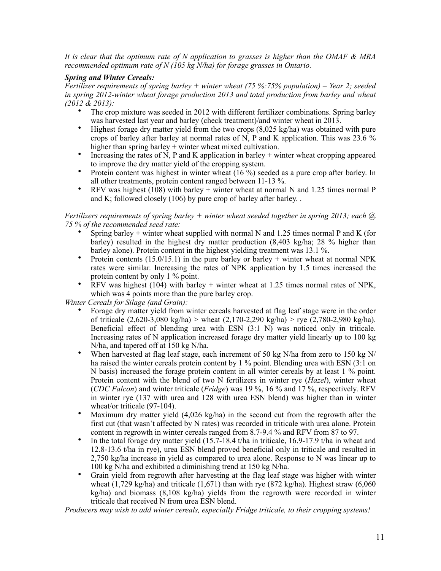*It is clear that the optimum rate of N application to grasses is higher than the OMAF & MRA recommended optimum rate of N (105 kg N/ha) for forage grasses in Ontario.* 

## *Spring and Winter Cereals:*

*Fertilizer requirements of spring barley + winter wheat (75 %:75% population) – Year 2; seeded in spring 2012-winter wheat forage production 2013 and total production from barley and wheat (2012 & 2013):*

- The crop mixture was seeded in 2012 with different fertilizer combinations. Spring barley was harvested last year and barley (check treatment)/and winter wheat in 2013.
- Highest forage dry matter yield from the two crops  $(8,025 \text{ kg/ha})$  was obtained with pure crops of barley after barley at normal rates of N, P and K application. This was 23.6 % higher than spring barley + winter wheat mixed cultivation.
- Increasing the rates of N, P and K application in barley  $+$  winter wheat cropping appeared to improve the dry matter yield of the cropping system.
- Protein content was highest in winter wheat (16 %) seeded as a pure crop after barley. In all other treatments, protein content ranged between 11-13 %.
- RFV was highest (108) with barley  $+$  winter wheat at normal N and 1.25 times normal P and K; followed closely (106) by pure crop of barley after barley. .

#### *Fertilizers requirements of spring barley + winter wheat seeded together in spring 2013; each @ 75 % of the recommended seed rate:*

- Spring barley + winter wheat supplied with normal N and 1.25 times normal P and K (for barley) resulted in the highest dry matter production (8,403 kg/ha; 28 % higher than barley alone). Protein content in the highest yielding treatment was 13.1 %.
- Protein contents  $(15.0/15.1)$  in the pure barley or barley + winter wheat at normal NPK rates were similar. Increasing the rates of NPK application by 1.5 times increased the protein content by only 1 % point.
- RFV was highest (104) with barley + winter wheat at 1.25 times normal rates of NPK, which was 4 points more than the pure barley crop.

*Winter Cereals for Silage (and Grain):*

- Forage dry matter yield from winter cereals harvested at flag leaf stage were in the order of triticale (2,620-3,080 kg/ha) > wheat (2,170-2,290 kg/ha) > rye (2,780-2,980 kg/ha). Beneficial effect of blending urea with ESN (3:1 N) was noticed only in triticale. Increasing rates of N application increased forage dry matter yield linearly up to 100 kg N/ha, and tapered off at 150 kg N/ha.
- When harvested at flag leaf stage, each increment of 50 kg N/ha from zero to 150 kg N/ ha raised the winter cereals protein content by 1 % point. Blending urea with ESN (3:1 on N basis) increased the forage protein content in all winter cereals by at least 1 % point. Protein content with the blend of two N fertilizers in winter rye (*Hazel*), winter wheat (*CDC Falcon*) and winter triticale (*Fridge*) was 19 %, 16 % and 17 %, respectively. RFV in winter rye (137 with urea and 128 with urea ESN blend) was higher than in winter wheat/or triticale (97-104).
- Maximum dry matter yield (4,026 kg/ha) in the second cut from the regrowth after the first cut (that wasn't affected by N rates) was recorded in triticale with urea alone. Protein content in regrowth in winter cereals ranged from 8.7-9.4 % and RFV from 87 to 97.
- In the total forage dry matter yield (15.7-18.4 t/ha in triticale, 16.9-17.9 t/ha in wheat and 12.8-13.6 t/ha in rye), urea ESN blend proved beneficial only in triticale and resulted in 2,750 kg/ha increase in yield as compared to urea alone. Response to N was linear up to 100 kg N/ha and exhibited a diminishing trend at 150 kg N/ha.
- Grain yield from regrowth after harvesting at the flag leaf stage was higher with winter wheat  $(1,729 \text{ kg/ha})$  and triticale  $(1,671)$  than with rye  $(872 \text{ kg/ha})$ . Highest straw  $(6,060 \text{ m})$  $kg/ha$ ) and biomass (8,108 kg/ha) yields from the regrowth were recorded in winter triticale that received N from urea ESN blend.

*Producers may wish to add winter cereals, especially Fridge triticale, to their cropping systems!*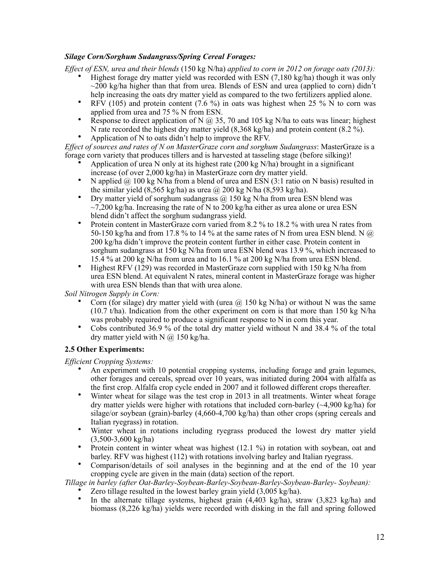# *Silage Corn/Sorghum Sudangrass/Spring Cereal Forages:*

*Effect of ESN, urea and their blends* (150 kg N/ha) *applied to corn in 2012 on forage oats (2013):*

- Highest forage dry matter yield was recorded with ESN (7,180 kg/ha) though it was only  $\sim$ 200 kg/ha higher than that from urea. Blends of ESN and urea (applied to corn) didn't help increasing the oats dry matter yield as compared to the two fertilizers applied alone.
- RFV (105) and protein content (7.6 %) in oats was highest when 25 %  $\hat{N}$  to corn was applied from urea and 75 % N from ESN.
- Response to direct application of N  $\omega$  35, 70 and 105 kg N/ha to oats was linear; highest N rate recorded the highest dry matter yield (8,368 kg/ha) and protein content (8.2 %).
- Application of N to oats didn't help to improve the RFV.

*Effect of sources and rates of N on MasterGraze corn and sorghum Sudangrass*: MasterGraze is a forage corn variety that produces tillers and is harvested at tasseling stage (before silking)!

- Application of urea N only at its highest rate  $(200 \text{ kg N/ha})$  brought in a significant increase (of over 2,000 kg/ha) in MasterGraze corn dry matter yield.
- N applied  $\omega$  100 kg N/ha from a blend of urea and ESN (3:1 ratio on N basis) resulted in the similar yield  $(8,565 \text{ kg/ha})$  as urea  $\omega$  200 kg N/ha  $(8,593 \text{ kg/ha})$ .
- Dry matter yield of sorghum sudangrass  $\omega$  150 kg N/ha from urea ESN blend was  $\sim$ 7.200 kg/ha. Increasing the rate of N to 200 kg/ha either as urea alone or urea ESN blend didn't affect the sorghum sudangrass yield.
- Protein content in MasterGraze corn varied from 8.2 % to 18.2 % with urea N rates from 50-150 kg/ha and from 17.8 % to 14 % at the same rates of N from urea ESN blend. N  $\omega$ 200 kg/ha didn't improve the protein content further in either case. Protein content in sorghum sudangrass at 150 kg N/ha from urea ESN blend was 13.9 %, which increased to 15.4 % at 200 kg N/ha from urea and to 16.1 % at 200 kg N/ha from urea ESN blend.
- Highest RFV (129) was recorded in MasterGraze corn supplied with 150 kg N/ha from urea ESN blend. At equivalent N rates, mineral content in MasterGraze forage was higher with urea ESN blends than that with urea alone.

*Soil Nitrogen Supply in Corn:*

- Corn (for silage) dry matter yield with (urea  $\omega$  150 kg N/ha) or without N was the same (10.7 t/ha). Indication from the other experiment on corn is that more than 150 kg N/ha was probably required to produce a significant response to N in corn this year.
- Cobs contributed 36.9 % of the total dry matter yield without N and 38.4 % of the total dry matter yield with N  $\omega$  150 kg/ha.

# **2.5 Other Experiments:**

*Efficient Cropping Systems:* 

- An experiment with 10 potential cropping systems, including forage and grain legumes, other forages and cereals, spread over 10 years, was initiated during 2004 with alfalfa as the first crop. Alfalfa crop cycle ended in 2007 and it followed different crops thereafter.
- Winter wheat for silage was the test crop in 2013 in all treatments. Winter wheat forage dry matter yields were higher with rotations that included corn-barley (~4,900 kg/ha) for silage/or soybean (grain)-barley (4,660-4,700 kg/ha) than other crops (spring cereals and Italian ryegrass) in rotation.
- Winter wheat in rotations including ryegrass produced the lowest dry matter yield (3,500-3,600 kg/ha)
- Protein content in winter wheat was highest (12.1 %) in rotation with soybean, oat and barley. RFV was highest (112) with rotations involving barley and Italian ryegrass.
- Comparison/details of soil analyses in the beginning and at the end of the 10 year cropping cycle are given in the main (data) section of the report.

*Tillage in barley (after Oat-Barley-Soybean-Barley-Soybean-Barley-Soybean-Barley- Soybean):* 

- Zero tillage resulted in the lowest barley grain yield (3,005 kg/ha).
- In the alternate tillage systems, highest grain  $(4,403 \text{ kg/ha})$ , straw  $(3,823 \text{ kg/ha})$  and biomass (8,226 kg/ha) yields were recorded with disking in the fall and spring followed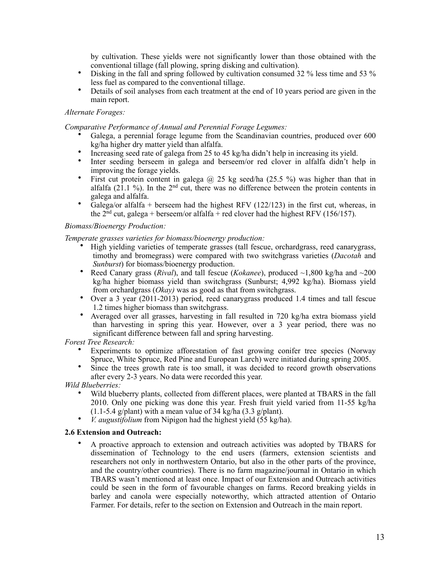by cultivation. These yields were not significantly lower than those obtained with the conventional tillage (fall plowing, spring disking and cultivation).

- Disking in the fall and spring followed by cultivation consumed 32 % less time and 53 % less fuel as compared to the conventional tillage.
- Details of soil analyses from each treatment at the end of 10 years period are given in the main report.

### *Alternate Forages:*

*Comparative Performance of Annual and Perennial Forage Legumes:* 

- Galega, a perennial forage legume from the Scandinavian countries, produced over 600 kg/ha higher dry matter yield than alfalfa.
- Increasing seed rate of galega from 25 to 45 kg/ha didn't help in increasing its yield.
- Inter seeding berseem in galega and berseem/or red clover in alfalfa didn't help in improving the forage yields.
- First cut protein content in galega  $\omega$  25 kg seed/ha (25.5 %) was higher than that in alfalfa (21.1 %). In the  $2<sup>nd</sup>$  cut, there was no difference between the protein contents in galega and alfalfa.
- Galega/or alfalfa + berseem had the highest RFV  $(122/123)$  in the first cut, whereas, in the  $2<sup>nd</sup>$  cut, galega + berseem/or alfalfa + red clover had the highest RFV (156/157).

### *Biomass/Bioenergy Production:*

*Temperate grasses varieties for biomass/bioenergy production:*

- High yielding varieties of temperate grasses (tall fescue, orchardgrass, reed canarygrass, timothy and bromegrass) were compared with two switchgrass varieties (*Dacotah* and *Sunburst*) for biomass/bioenergy production.
- Reed Canary grass (*Rival*), and tall fescue (*Kokanee*), produced ~1,800 kg/ha and ~200 kg/ha higher biomass yield than switchgrass (Sunburst; 4,992 kg/ha). Biomass yield from orchardgrass (*Okay)* was as good as that from switchgrass.
- Over a 3 year (2011-2013) period, reed canarygrass produced 1.4 times and tall fescue 1.2 times higher biomass than switchgrass.
- Averaged over all grasses, harvesting in fall resulted in 720 kg/ha extra biomass yield than harvesting in spring this year. However, over a 3 year period, there was no significant difference between fall and spring harvesting.

*Forest Tree Research:* 

- Experiments to optimize afforestation of fast growing conifer tree species (Norway Spruce, White Spruce, Red Pine and European Larch) were initiated during spring 2005.
- Since the trees growth rate is too small, it was decided to record growth observations after every 2-3 years. No data were recorded this year.

*Wild Blueberries:*

- Wild blueberry plants, collected from different places, were planted at TBARS in the fall 2010. Only one picking was done this year. Fresh fruit yield varied from 11-55 kg/ha  $(1.1-5.4 \text{ g/plant})$  with a mean value of 34 kg/ha  $(3.3 \text{ g/plant})$ .
- *V. augustifolium* from Nipigon had the highest yield (55 kg/ha).

### **2.6 Extension and Outreach:**

• A proactive approach to extension and outreach activities was adopted by TBARS for dissemination of Technology to the end users (farmers, extension scientists and researchers not only in northwestern Ontario, but also in the other parts of the province, and the country/other countries). There is no farm magazine/journal in Ontario in which TBARS wasn't mentioned at least once. Impact of our Extension and Outreach activities could be seen in the form of favourable changes on farms. Record breaking yields in barley and canola were especially noteworthy, which attracted attention of Ontario Farmer. For details, refer to the section on Extension and Outreach in the main report.